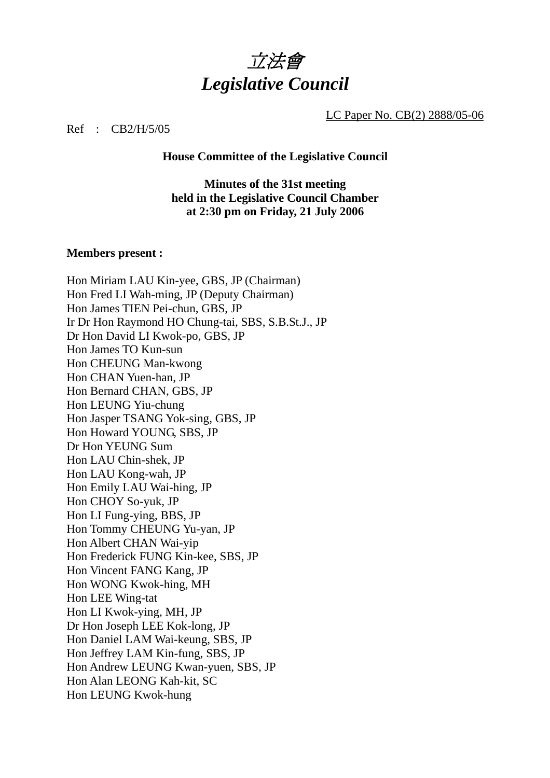

LC Paper No. CB(2) 2888/05-06

Ref : CB2/H/5/05

**House Committee of the Legislative Council** 

**Minutes of the 31st meeting held in the Legislative Council Chamber at 2:30 pm on Friday, 21 July 2006** 

#### **Members present :**

Hon Miriam LAU Kin-yee, GBS, JP (Chairman) Hon Fred LI Wah-ming, JP (Deputy Chairman) Hon James TIEN Pei-chun, GBS, JP Ir Dr Hon Raymond HO Chung-tai, SBS, S.B.St.J., JP Dr Hon David LI Kwok-po, GBS, JP Hon James TO Kun-sun Hon CHEUNG Man-kwong Hon CHAN Yuen-han, JP Hon Bernard CHAN, GBS, JP Hon LEUNG Yiu-chung Hon Jasper TSANG Yok-sing, GBS, JP Hon Howard YOUNG, SBS, JP Dr Hon YEUNG Sum Hon LAU Chin-shek, JP Hon LAU Kong-wah, JP Hon Emily LAU Wai-hing, JP Hon CHOY So-yuk, JP Hon LI Fung-ying, BBS, JP Hon Tommy CHEUNG Yu-yan, JP Hon Albert CHAN Wai-yip Hon Frederick FUNG Kin-kee, SBS, JP Hon Vincent FANG Kang, JP Hon WONG Kwok-hing, MH Hon LEE Wing-tat Hon LI Kwok-ying, MH, JP Dr Hon Joseph LEE Kok-long, JP Hon Daniel LAM Wai-keung, SBS, JP Hon Jeffrey LAM Kin-fung, SBS, JP Hon Andrew LEUNG Kwan-yuen, SBS, JP Hon Alan LEONG Kah-kit, SC Hon LEUNG Kwok-hung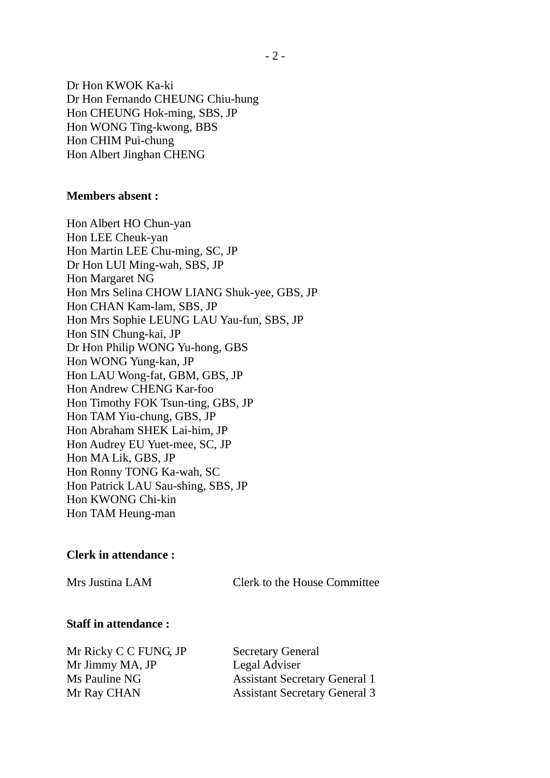Dr Hon KWOK Ka-ki Dr Hon Fernando CHEUNG Chiu-hung Hon CHEUNG Hok-ming, SBS, JP Hon WONG Ting-kwong, BBS Hon CHIM Pui-chung Hon Albert Jinghan CHENG

#### **Members absent :**

Hon Albert HO Chun-yan Hon LEE Cheuk-yan Hon Martin LEE Chu-ming, SC, JP Dr Hon LUI Ming-wah, SBS, JP Hon Margaret NG Hon Mrs Selina CHOW LIANG Shuk-yee, GBS, JP Hon CHAN Kam-lam, SBS, JP Hon Mrs Sophie LEUNG LAU Yau-fun, SBS, JP Hon SIN Chung-kai, JP Dr Hon Philip WONG Yu-hong, GBS Hon WONG Yung-kan, JP Hon LAU Wong-fat, GBM, GBS, JP Hon Andrew CHENG Kar-foo Hon Timothy FOK Tsun-ting, GBS, JP Hon TAM Yiu-chung, GBS, JP Hon Abraham SHEK Lai-him, JP Hon Audrey EU Yuet-mee, SC, JP Hon MA Lik, GBS, JP Hon Ronny TONG Ka-wah, SC Hon Patrick LAU Sau-shing, SBS, JP Hon KWONG Chi-kin Hon TAM Heung-man

#### **Clerk in attendance :**

Mrs Justina LAM Clerk to the House Committee

#### **Staff in attendance :**

Mr Ricky C C FUNG, JP Secretary General Mr Jimmy MA, JP Legal Adviser

Ms Pauline NG Assistant Secretary General 1 Mr Ray CHAN Assistant Secretary General 3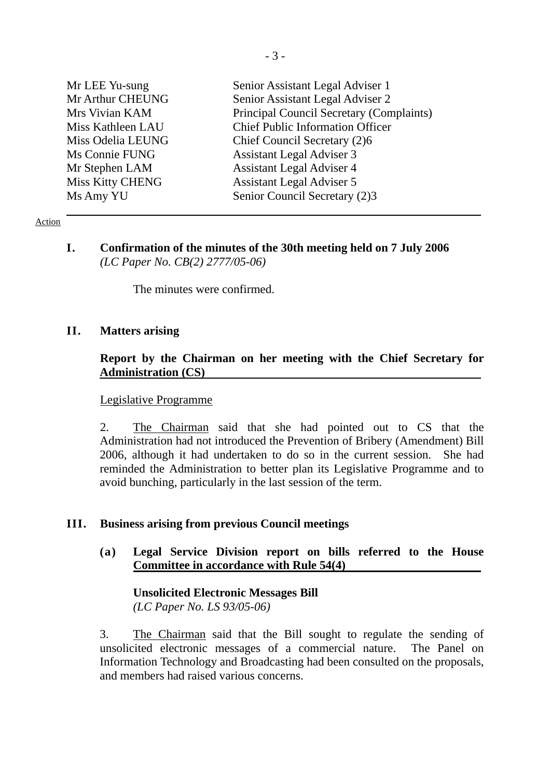| Mr LEE Yu-sung    | Senior Assistant Legal Adviser 1         |
|-------------------|------------------------------------------|
| Mr Arthur CHEUNG  | Senior Assistant Legal Adviser 2         |
| Mrs Vivian KAM    | Principal Council Secretary (Complaints) |
| Miss Kathleen LAU | <b>Chief Public Information Officer</b>  |
| Miss Odelia LEUNG | Chief Council Secretary (2)6             |
| Ms Connie FUNG    | <b>Assistant Legal Adviser 3</b>         |
| Mr Stephen LAM    | <b>Assistant Legal Adviser 4</b>         |
| Miss Kitty CHENG  | <b>Assistant Legal Adviser 5</b>         |
| Ms Amy YU         | Senior Council Secretary (2)3            |

#### Action

**I. Confirmation of the minutes of the 30th meeting held on 7 July 2006**   *(LC Paper No. CB(2) 2777/05-06)* 

The minutes were confirmed.

#### **II. Matters arising**

## **Report by the Chairman on her meeting with the Chief Secretary for Administration (CS)**

#### Legislative Programme

2. The Chairman said that she had pointed out to CS that the Administration had not introduced the Prevention of Bribery (Amendment) Bill 2006, although it had undertaken to do so in the current session. She had reminded the Administration to better plan its Legislative Programme and to avoid bunching, particularly in the last session of the term.

#### **III. Business arising from previous Council meetings**

**(a) Legal Service Division report on bills referred to the House Committee in accordance with Rule 54(4)** 

**Unsolicited Electronic Messages Bill**  *(LC Paper No. LS 93/05-06)* 

3. The Chairman said that the Bill sought to regulate the sending of unsolicited electronic messages of a commercial nature. The Panel on Information Technology and Broadcasting had been consulted on the proposals, and members had raised various concerns.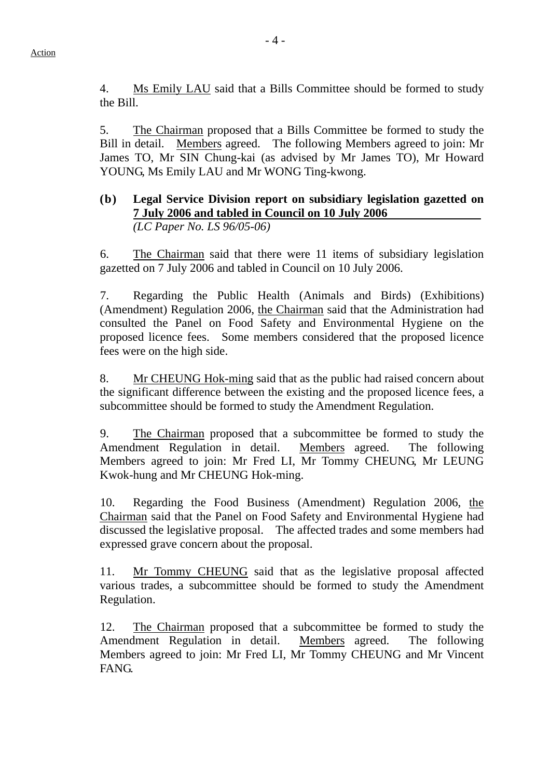4. Ms Emily LAU said that a Bills Committee should be formed to study the Bill.

5. The Chairman proposed that a Bills Committee be formed to study the Bill in detail. Members agreed. The following Members agreed to join: Mr James TO, Mr SIN Chung-kai (as advised by Mr James TO), Mr Howard YOUNG, Ms Emily LAU and Mr WONG Ting-kwong.

## **(b) Legal Service Division report on subsidiary legislation gazetted on 7 July 2006 and tabled in Council on 10 July 2006**  *(LC Paper No. LS 96/05-06)*

 6. The Chairman said that there were 11 items of subsidiary legislation gazetted on 7 July 2006 and tabled in Council on 10 July 2006.

 7. Regarding the Public Health (Animals and Birds) (Exhibitions) (Amendment) Regulation 2006, the Chairman said that the Administration had consulted the Panel on Food Safety and Environmental Hygiene on the proposed licence fees. Some members considered that the proposed licence fees were on the high side.

8. Mr CHEUNG Hok-ming said that as the public had raised concern about the significant difference between the existing and the proposed licence fees, a subcommittee should be formed to study the Amendment Regulation.

 9. The Chairman proposed that a subcommittee be formed to study the Amendment Regulation in detail. Members agreed. The following Members agreed to join: Mr Fred LI, Mr Tommy CHEUNG, Mr LEUNG Kwok-hung and Mr CHEUNG Hok-ming.

 10. Regarding the Food Business (Amendment) Regulation 2006, the Chairman said that the Panel on Food Safety and Environmental Hygiene had discussed the legislative proposal. The affected trades and some members had expressed grave concern about the proposal.

11. Mr Tommy CHEUNG said that as the legislative proposal affected various trades, a subcommittee should be formed to study the Amendment Regulation.

 12. The Chairman proposed that a subcommittee be formed to study the Amendment Regulation in detail. Members agreed. The following Members agreed to join: Mr Fred LI, Mr Tommy CHEUNG and Mr Vincent FANG.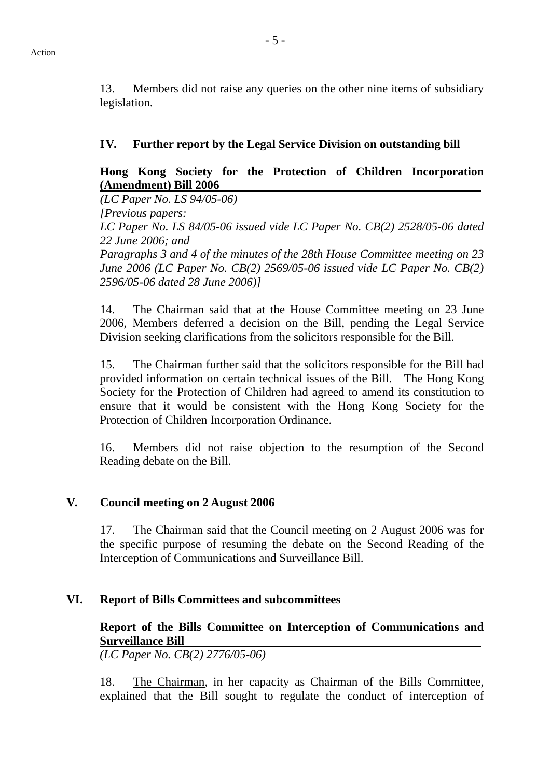13. Members did not raise any queries on the other nine items of subsidiary legislation.

## **IV. Further report by the Legal Service Division on outstanding bill**

# **Hong Kong Society for the Protection of Children Incorporation (Amendment) Bill 2006**

*(LC Paper No. LS 94/05-06)* 

 *[Previous papers:* 

 *LC Paper No. LS 84/05-06 issued vide LC Paper No. CB(2) 2528/05-06 dated 22 June 2006; and* 

 *Paragraphs 3 and 4 of the minutes of the 28th House Committee meeting on 23 June 2006 (LC Paper No. CB(2) 2569/05-06 issued vide LC Paper No. CB(2) 2596/05-06 dated 28 June 2006)]* 

 14. The Chairman said that at the House Committee meeting on 23 June 2006, Members deferred a decision on the Bill, pending the Legal Service Division seeking clarifications from the solicitors responsible for the Bill.

 15. The Chairman further said that the solicitors responsible for the Bill had provided information on certain technical issues of the Bill. The Hong Kong Society for the Protection of Children had agreed to amend its constitution to ensure that it would be consistent with the Hong Kong Society for the Protection of Children Incorporation Ordinance.

16. Members did not raise objection to the resumption of the Second Reading debate on the Bill.

# **V. Council meeting on 2 August 2006**

 17. The Chairman said that the Council meeting on 2 August 2006 was for the specific purpose of resuming the debate on the Second Reading of the Interception of Communications and Surveillance Bill.

# **VI. Report of Bills Committees and subcommittees**

# **Report of the Bills Committee on Interception of Communications and Surveillance Bill**

*(LC Paper No. CB(2) 2776/05-06)* 

18. The Chairman, in her capacity as Chairman of the Bills Committee, explained that the Bill sought to regulate the conduct of interception of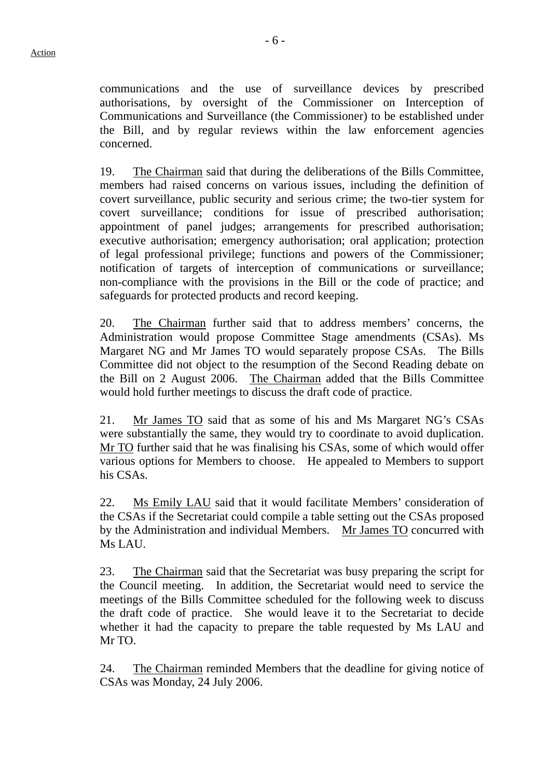communications and the use of surveillance devices by prescribed authorisations, by oversight of the Commissioner on Interception of Communications and Surveillance (the Commissioner) to be established under the Bill, and by regular reviews within the law enforcement agencies concerned.

19. The Chairman said that during the deliberations of the Bills Committee, members had raised concerns on various issues, including the definition of covert surveillance, public security and serious crime; the two-tier system for covert surveillance; conditions for issue of prescribed authorisation; appointment of panel judges; arrangements for prescribed authorisation; executive authorisation; emergency authorisation; oral application; protection of legal professional privilege; functions and powers of the Commissioner; notification of targets of interception of communications or surveillance; non-compliance with the provisions in the Bill or the code of practice; and safeguards for protected products and record keeping.

20. The Chairman further said that to address members' concerns, the Administration would propose Committee Stage amendments (CSAs). Ms Margaret NG and Mr James TO would separately propose CSAs. The Bills Committee did not object to the resumption of the Second Reading debate on the Bill on 2 August 2006. The Chairman added that the Bills Committee would hold further meetings to discuss the draft code of practice.

21. Mr James TO said that as some of his and Ms Margaret NG's CSAs were substantially the same, they would try to coordinate to avoid duplication. Mr TO further said that he was finalising his CSAs, some of which would offer various options for Members to choose. He appealed to Members to support his CSAs.

22. Ms Emily LAU said that it would facilitate Members' consideration of the CSAs if the Secretariat could compile a table setting out the CSAs proposed by the Administration and individual Members. Mr James TO concurred with Ms LAU.

23. The Chairman said that the Secretariat was busy preparing the script for the Council meeting. In addition, the Secretariat would need to service the meetings of the Bills Committee scheduled for the following week to discuss the draft code of practice. She would leave it to the Secretariat to decide whether it had the capacity to prepare the table requested by Ms LAU and Mr TO.

 24. The Chairman reminded Members that the deadline for giving notice of CSAs was Monday, 24 July 2006.